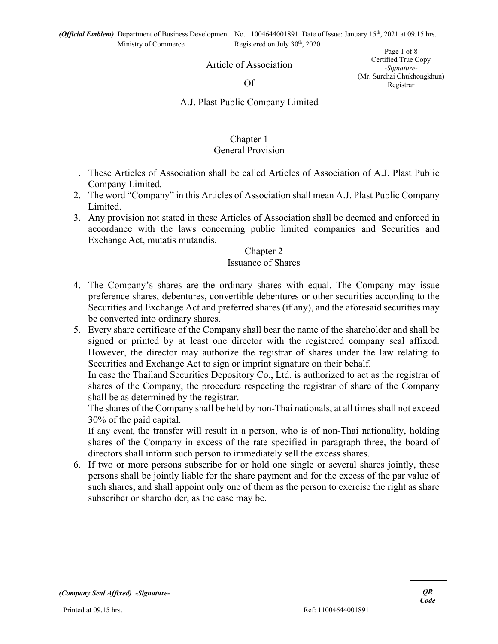Article of Association

#### Of

Page 1 of 8 Certified True Copy *-Signature-* (Mr. Surchai Chukhongkhun) Registrar

### A.J. Plast Public Company Limited

# Chapter 1

## General Provision

- 1. These Articles of Association shall be called Articles of Association of A.J. Plast Public Company Limited.
- 2. The word "Company" in this Articles of Association shall mean A.J. Plast Public Company Limited.
- 3. Any provision not stated in these Articles of Association shall be deemed and enforced in accordance with the laws concerning public limited companies and Securities and Exchange Act, mutatis mutandis.

### Chapter 2

### Issuance of Shares

- 4. The Company's shares are the ordinary shares with equal. The Company may issue preference shares, debentures, convertible debentures or other securities according to the Securities and Exchange Act and preferred shares (if any), and the aforesaid securities may be converted into ordinary shares.
- 5. Every share certificate of the Company shall bear the name of the shareholder and shall be signed or printed by at least one director with the registered company seal affixed. However, the director may authorize the registrar of shares under the law relating to Securities and Exchange Act to sign or imprint signature on their behalf.

In case the Thailand Securities Depository Co., Ltd. is authorized to act as the registrar of shares of the Company, the procedure respecting the registrar of share of the Company shall be as determined by the registrar.

The shares of the Company shall be held by non-Thai nationals, at all times shall not exceed 30% of the paid capital.

If any event, the transfer will result in a person, who is of non-Thai nationality, holding shares of the Company in excess of the rate specified in paragraph three, the board of directors shall inform such person to immediately sell the excess shares.

6. If two or more persons subscribe for or hold one single or several shares jointly, these persons shall be jointly liable for the share payment and for the excess of the par value of such shares, and shall appoint only one of them as the person to exercise the right as share subscriber or shareholder, as the case may be.

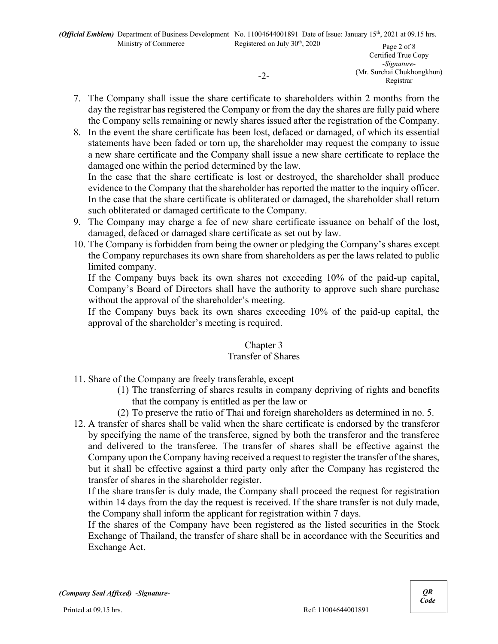Certified True Copy *-Signature-* (Mr. Surchai Chukhongkhun) Registrar

- 7. The Company shall issue the share certificate to shareholders within 2 months from the day the registrar has registered the Company or from the day the shares are fully paid where the Company sells remaining or newly shares issued after the registration of the Company.
- 8. In the event the share certificate has been lost, defaced or damaged, of which its essential statements have been faded or torn up, the shareholder may request the company to issue a new share certificate and the Company shall issue a new share certificate to replace the damaged one within the period determined by the law.

In the case that the share certificate is lost or destroyed, the shareholder shall produce evidence to the Company that the shareholder has reported the matter to the inquiry officer. In the case that the share certificate is obliterated or damaged, the shareholder shall return such obliterated or damaged certificate to the Company.

- 9. The Company may charge a fee of new share certificate issuance on behalf of the lost, damaged, defaced or damaged share certificate as set out by law.
- 10. The Company is forbidden from being the owner or pledging the Company's shares except the Company repurchases its own share from shareholders as per the laws related to public limited company.

If the Company buys back its own shares not exceeding 10% of the paid-up capital, Company's Board of Directors shall have the authority to approve such share purchase without the approval of the shareholder's meeting.

If the Company buys back its own shares exceeding 10% of the paid-up capital, the approval of the shareholder's meeting is required.

### Chapter 3

### Transfer of Shares

- 11. Share of the Company are freely transferable, except
	- (1) The transferring of shares results in company depriving of rights and benefits that the company is entitled as per the law or
	- (2) To preserve the ratio of Thai and foreign shareholders as determined in no. 5.
- 12. A transfer of shares shall be valid when the share certificate is endorsed by the transferor by specifying the name of the transferee, signed by both the transferor and the transferee and delivered to the transferee. The transfer of shares shall be effective against the Company upon the Company having received a request to register the transfer of the shares, but it shall be effective against a third party only after the Company has registered the transfer of shares in the shareholder register.

If the share transfer is duly made, the Company shall proceed the request for registration within 14 days from the day the request is received. If the share transfer is not duly made, the Company shall inform the applicant for registration within 7 days.

If the shares of the Company have been registered as the listed securities in the Stock Exchange of Thailand, the transfer of share shall be in accordance with the Securities and Exchange Act.



<sup>-2-</sup>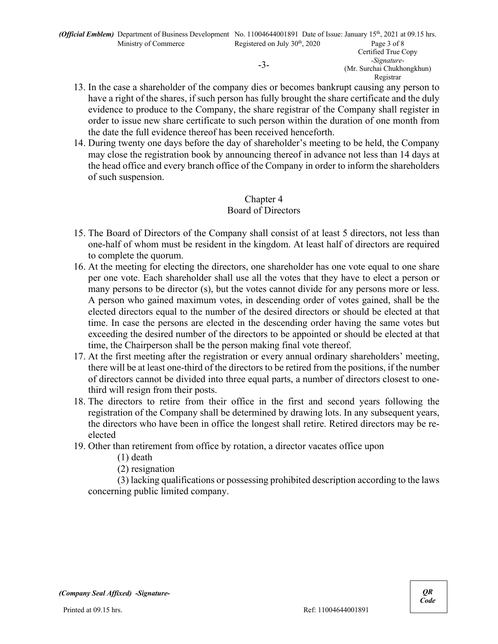13. In the case a shareholder of the company dies or becomes bankrupt causing any person to have a right of the shares, if such person has fully brought the share certificate and the duly evidence to produce to the Company, the share registrar of the Company shall register in order to issue new share certificate to such person within the duration of one month from the date the full evidence thereof has been received henceforth.

Registrar

14. During twenty one days before the day of shareholder's meeting to be held, the Company may close the registration book by announcing thereof in advance not less than 14 days at the head office and every branch office of the Company in order to inform the shareholders of such suspension.

# Chapter 4 Board of Directors

- 15. The Board of Directors of the Company shall consist of at least 5 directors, not less than one-half of whom must be resident in the kingdom. At least half of directors are required to complete the quorum.
- 16. At the meeting for electing the directors, one shareholder has one vote equal to one share per one vote. Each shareholder shall use all the votes that they have to elect a person or many persons to be director (s), but the votes cannot divide for any persons more or less. A person who gained maximum votes, in descending order of votes gained, shall be the elected directors equal to the number of the desired directors or should be elected at that time. In case the persons are elected in the descending order having the same votes but exceeding the desired number of the directors to be appointed or should be elected at that time, the Chairperson shall be the person making final vote thereof.
- 17. At the first meeting after the registration or every annual ordinary shareholders' meeting, there will be at least one-third of the directors to be retired from the positions, if the number of directors cannot be divided into three equal parts, a number of directors closest to onethird will resign from their posts.
- 18. The directors to retire from their office in the first and second years following the registration of the Company shall be determined by drawing lots. In any subsequent years, the directors who have been in office the longest shall retire. Retired directors may be reelected
- 19. Other than retirement from office by rotation, a director vacates office upon
	- (1) death
	- (2) resignation

(3) lacking qualifications or possessing prohibited description according to the laws concerning public limited company.

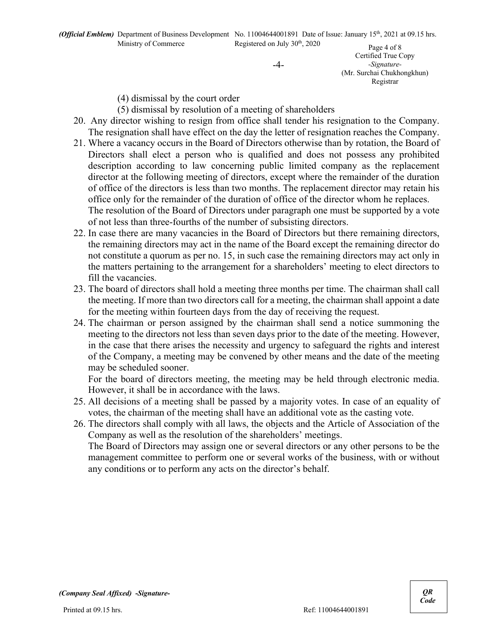-4-

Page 4 of 8 Certified True Copy *-Signature-* (Mr. Surchai Chukhongkhun) Registrar

(4) dismissal by the court order

(5) dismissal by resolution of a meeting of shareholders

- 20. Any director wishing to resign from office shall tender his resignation to the Company. The resignation shall have effect on the day the letter of resignation reaches the Company.
- 21. Where a vacancy occurs in the Board of Directors otherwise than by rotation, the Board of Directors shall elect a person who is qualified and does not possess any prohibited description according to law concerning public limited company as the replacement director at the following meeting of directors, except where the remainder of the duration of office of the directors is less than two months. The replacement director may retain his office only for the remainder of the duration of office of the director whom he replaces. The resolution of the Board of Directors under paragraph one must be supported by a vote of not less than three-fourths of the number of subsisting directors.
- 22. In case there are many vacancies in the Board of Directors but there remaining directors, the remaining directors may act in the name of the Board except the remaining director do not constitute a quorum as per no. 15, in such case the remaining directors may act only in the matters pertaining to the arrangement for a shareholders' meeting to elect directors to fill the vacancies.
- 23. The board of directors shall hold a meeting three months per time. The chairman shall call the meeting. If more than two directors call for a meeting, the chairman shall appoint a date for the meeting within fourteen days from the day of receiving the request.
- 24. The chairman or person assigned by the chairman shall send a notice summoning the meeting to the directors not less than seven days prior to the date of the meeting. However, in the case that there arises the necessity and urgency to safeguard the rights and interest of the Company, a meeting may be convened by other means and the date of the meeting may be scheduled sooner.

For the board of directors meeting, the meeting may be held through electronic media. However, it shall be in accordance with the laws.

25. All decisions of a meeting shall be passed by a majority votes. In case of an equality of votes, the chairman of the meeting shall have an additional vote as the casting vote.

26. The directors shall comply with all laws, the objects and the Article of Association of the Company as well as the resolution of the shareholders' meetings.

The Board of Directors may assign one or several directors or any other persons to be the management committee to perform one or several works of the business, with or without any conditions or to perform any acts on the director's behalf.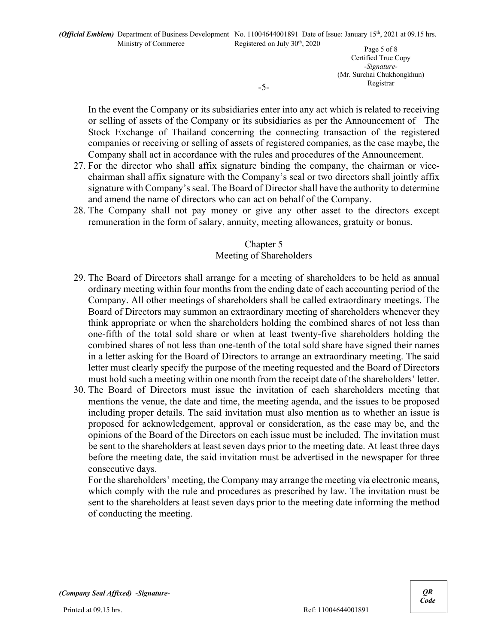Page 5 of 8 Certified True Copy *-Signature-* (Mr. Surchai Chukhongkhun) Registrar

In the event the Company or its subsidiaries enter into any act which is related to receiving or selling of assets of the Company or its subsidiaries as per the Announcement of The Stock Exchange of Thailand concerning the connecting transaction of the registered companies or receiving or selling of assets of registered companies, as the case maybe, the Company shall act in accordance with the rules and procedures of the Announcement.

- 27. For the director who shall affix signature binding the company, the chairman or vicechairman shall affix signature with the Company's seal or two directors shall jointly affix signature with Company's seal. The Board of Director shall have the authority to determine and amend the name of directors who can act on behalf of the Company.
- 28. The Company shall not pay money or give any other asset to the directors except remuneration in the form of salary, annuity, meeting allowances, gratuity or bonus.

# Chapter 5

# Meeting of Shareholders

- 29. The Board of Directors shall arrange for a meeting of shareholders to be held as annual ordinary meeting within four months from the ending date of each accounting period of the Company. All other meetings of shareholders shall be called extraordinary meetings. The Board of Directors may summon an extraordinary meeting of shareholders whenever they think appropriate or when the shareholders holding the combined shares of not less than one-fifth of the total sold share or when at least twenty-five shareholders holding the combined shares of not less than one-tenth of the total sold share have signed their names in a letter asking for the Board of Directors to arrange an extraordinary meeting. The said letter must clearly specify the purpose of the meeting requested and the Board of Directors must hold such a meeting within one month from the receipt date of the shareholders' letter.
- 30. The Board of Directors must issue the invitation of each shareholders meeting that mentions the venue, the date and time, the meeting agenda, and the issues to be proposed including proper details. The said invitation must also mention as to whether an issue is proposed for acknowledgement, approval or consideration, as the case may be, and the opinions of the Board of the Directors on each issue must be included. The invitation must be sent to the shareholders at least seven days prior to the meeting date. At least three days before the meeting date, the said invitation must be advertised in the newspaper for three consecutive days.

For the shareholders' meeting, the Company may arrange the meeting via electronic means, which comply with the rule and procedures as prescribed by law. The invitation must be sent to the shareholders at least seven days prior to the meeting date informing the method of conducting the meeting.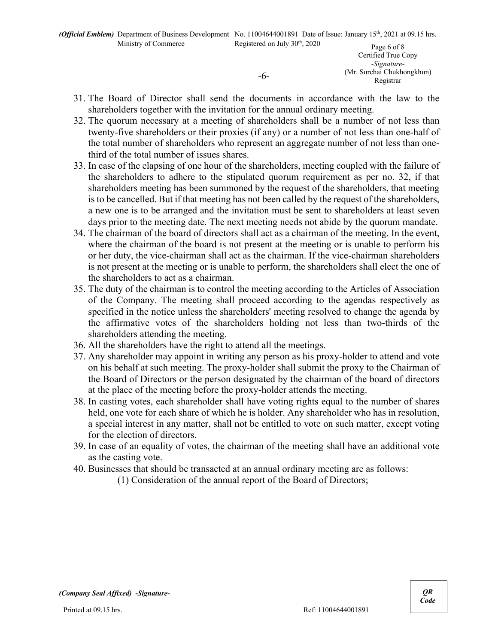*-Signature-* (Mr. Surchai Chukhongkhun) Registrar

31. The Board of Director shall send the documents in accordance with the law to the shareholders together with the invitation for the annual ordinary meeting.

-6-

- 32. The quorum necessary at a meeting of shareholders shall be a number of not less than twenty-five shareholders or their proxies (if any) or a number of not less than one-half of the total number of shareholders who represent an aggregate number of not less than onethird of the total number of issues shares.
- 33. In case of the elapsing of one hour of the shareholders, meeting coupled with the failure of the shareholders to adhere to the stipulated quorum requirement as per no. 32, if that shareholders meeting has been summoned by the request of the shareholders, that meeting is to be cancelled. But if that meeting has not been called by the request of the shareholders, a new one is to be arranged and the invitation must be sent to shareholders at least seven days prior to the meeting date. The next meeting needs not abide by the quorum mandate.
- 34. The chairman of the board of directors shall act as a chairman of the meeting. In the event, where the chairman of the board is not present at the meeting or is unable to perform his or her duty, the vice-chairman shall act as the chairman. If the vice-chairman shareholders is not present at the meeting or is unable to perform, the shareholders shall elect the one of the shareholders to act as a chairman.
- 35. The duty of the chairman is to control the meeting according to the Articles of Association of the Company. The meeting shall proceed according to the agendas respectively as specified in the notice unless the shareholders' meeting resolved to change the agenda by the affirmative votes of the shareholders holding not less than two-thirds of the shareholders attending the meeting.
- 36. All the shareholders have the right to attend all the meetings.
- 37. Any shareholder may appoint in writing any person as his proxy-holder to attend and vote on his behalf at such meeting. The proxy-holder shall submit the proxy to the Chairman of the Board of Directors or the person designated by the chairman of the board of directors at the place of the meeting before the proxy-holder attends the meeting.
- 38. In casting votes, each shareholder shall have voting rights equal to the number of shares held, one vote for each share of which he is holder. Any shareholder who has in resolution, a special interest in any matter, shall not be entitled to vote on such matter, except voting for the election of directors.
- 39. In case of an equality of votes, the chairman of the meeting shall have an additional vote as the casting vote.
- 40. Businesses that should be transacted at an annual ordinary meeting are as follows:
	- (1) Consideration of the annual report of the Board of Directors;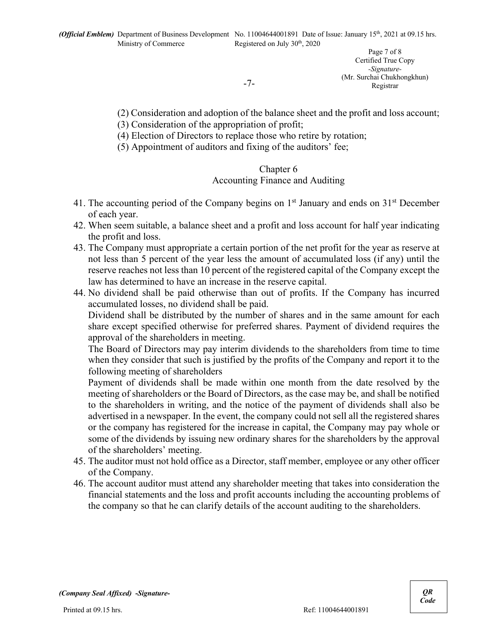-7-

Page 7 of 8 Certified True Copy *-Signature-* (Mr. Surchai Chukhongkhun) Registrar

(2) Consideration and adoption of the balance sheet and the profit and loss account;

- (3) Consideration of the appropriation of profit;
- (4) Election of Directors to replace those who retire by rotation;
- (5) Appointment of auditors and fixing of the auditors' fee;

### Chapter 6

### Accounting Finance and Auditing

- 41. The accounting period of the Company begins on  $1<sup>st</sup>$  January and ends on  $31<sup>st</sup>$  December of each year.
- 42. When seem suitable, a balance sheet and a profit and loss account for half year indicating the profit and loss.
- 43. The Company must appropriate a certain portion of the net profit for the year as reserve at not less than 5 percent of the year less the amount of accumulated loss (if any) until the reserve reaches not less than 10 percent of the registered capital of the Company except the law has determined to have an increase in the reserve capital.
- 44. No dividend shall be paid otherwise than out of profits. If the Company has incurred accumulated losses, no dividend shall be paid.

Dividend shall be distributed by the number of shares and in the same amount for each share except specified otherwise for preferred shares. Payment of dividend requires the approval of the shareholders in meeting.

The Board of Directors may pay interim dividends to the shareholders from time to time when they consider that such is justified by the profits of the Company and report it to the following meeting of shareholders

Payment of dividends shall be made within one month from the date resolved by the meeting of shareholders or the Board of Directors, as the case may be, and shall be notified to the shareholders in writing, and the notice of the payment of dividends shall also be advertised in a newspaper. In the event, the company could not sell all the registered shares or the company has registered for the increase in capital, the Company may pay whole or some of the dividends by issuing new ordinary shares for the shareholders by the approval of the shareholders' meeting.

- 45. The auditor must not hold office as a Director, staff member, employee or any other officer of the Company.
- 46. The account auditor must attend any shareholder meeting that takes into consideration the financial statements and the loss and profit accounts including the accounting problems of the company so that he can clarify details of the account auditing to the shareholders.